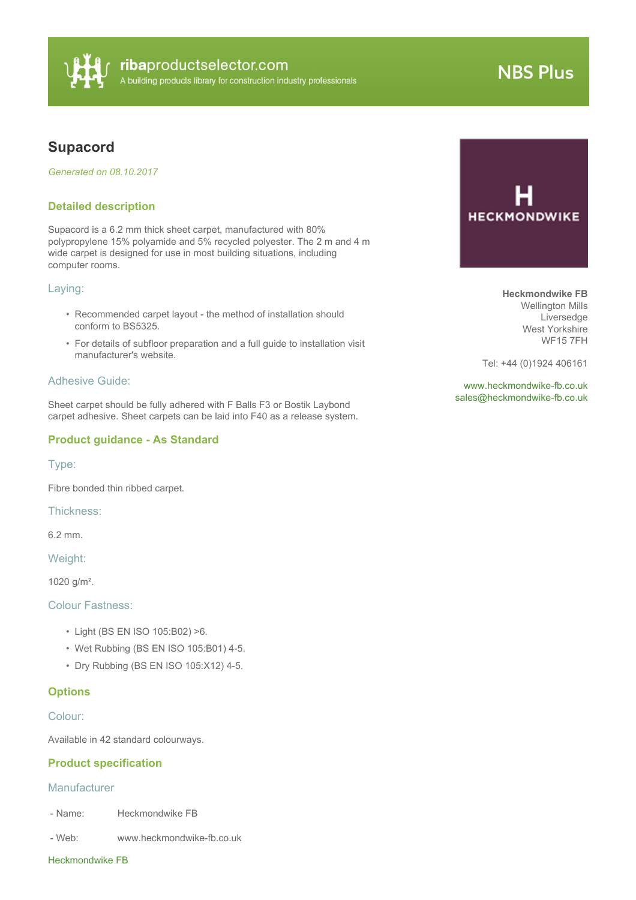

# **NBS Plus**

# **Supacord**

*Generated on 08.10.2017*

#### **Detailed description**

Supacord is a 6.2 mm thick sheet carpet, manufactured with 80% polypropylene 15% polyamide and 5% recycled polyester. The 2 m and 4 m wide carpet is designed for use in most building situations, including computer rooms.

#### Laying:

- Recommended carpet layout the method of installation should conform to BS5325.
- For details of subfloor preparation and a full guide to installation visit manufacturer's website.

## Adhesive Guide:

Sheet carpet should be fully adhered with F Balls F3 or Bostik Laybond carpet adhesive. Sheet carpets can be laid into F40 as a release system.

# **Product guidance - As Standard**

Type:

Fibre bonded thin ribbed carpet.

Thickness:

6.2 mm.

Weight:

1020 g/m².

Colour Fastness:

- Light (BS EN ISO 105:B02) >6.
- Wet Rubbing (BS EN ISO 105:B01) 4-5.
- Dry Rubbing (BS EN ISO 105:X12) 4-5.

## **Options**

Colour:

Available in 42 standard colourways.

## **Product specification**

#### **Manufacturer**

- Name: Heckmondwike FB
- Web: www.heckmondwike-fb.co.uk

#### Heckmondwike FB

**HECKMONDWIKE** 

**Heckmondwike FB** Wellington Mills Liversedge West Yorkshire WF15 7FH

Tel: +44 (0)1924 406161

<www.heckmondwike-fb.co.uk> [sales@heckmondwike-fb.co.uk](mailto:sales@heckmondwike-fb.co.uk?subject=Supacord)